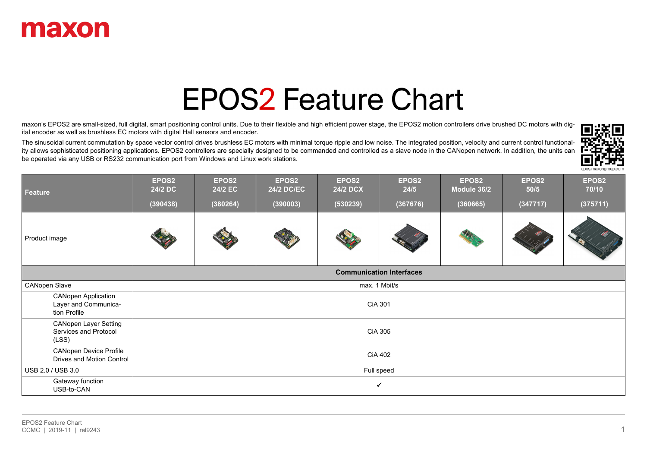

# **EPOS2 Feature Chart**

maxon's EPOS2 are small-sized, full digital, smart positioning control units. Due to their flexible and high efficient power stage, the EPOS2 motion controllers drive brushed DC motors with digital encoder as well as brushless EC motors with digital Hall sensors and encoder.

The sinusoidal current commutation by space vector control drives brushless EC motors with minimal torque ripple and low noise. The integrated position, velocity and current control functionality allows sophisticated positioning applications. EPOS2 controllers are specially designed to be commanded and controlled as a slave node in the CANopen network. In addition, the units can be operated via any USB or RS232 communication port from Windows and Linux work stations.



| <b>Feature</b>                                                     | EPOS2<br>24/2 DC | EPOS2<br>24/2 EC                | EPOS2<br><b>24/2 DC/EC</b> | EPOS2<br><b>24/2 DCX</b> | EPOS2<br>24/5  | EPOS2<br>Module 36/2 | EPOS2<br>50/5 | EPOS2<br>70/10 |  |
|--------------------------------------------------------------------|------------------|---------------------------------|----------------------------|--------------------------|----------------|----------------------|---------------|----------------|--|
|                                                                    | (390438)         | (380264)                        | (390003)                   | (530239)                 | (367676)       | (360665)             | (347717)      | (375711)       |  |
| Product image                                                      |                  |                                 |                            |                          |                |                      |               |                |  |
|                                                                    |                  | <b>Communication Interfaces</b> |                            |                          |                |                      |               |                |  |
| <b>CANopen Slave</b>                                               |                  |                                 |                            |                          | max. 1 Mbit/s  |                      |               |                |  |
| <b>CANopen Application</b><br>Layer and Communica-<br>tion Profile |                  |                                 |                            |                          | <b>CiA 301</b> |                      |               |                |  |
| <b>CANopen Layer Setting</b><br>Services and Protocol<br>(LSS)     |                  |                                 |                            |                          | CiA 305        |                      |               |                |  |
| <b>CANopen Device Profile</b><br>Drives and Motion Control         |                  |                                 |                            |                          | <b>CiA 402</b> |                      |               |                |  |
| USB 2.0 / USB 3.0                                                  |                  | Full speed                      |                            |                          |                |                      |               |                |  |
| Gateway function<br>USB-to-CAN                                     |                  | $\checkmark$                    |                            |                          |                |                      |               |                |  |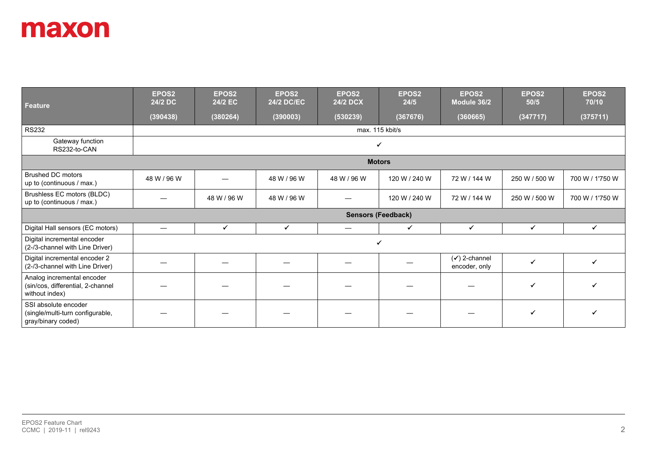| Feature                                                                           | EPOS2<br>24/2 DC | EPOS2<br>24/2 EC | EPOS <sub>2</sub><br><b>24/2 DC/EC</b> | EPOS2<br><b>24/2 DCX</b> | EPOS2<br>24/5             | EPOS2<br>Module 36/2                      | EPOS2<br>50/5 | EPOS <sub>2</sub><br>70/10 |
|-----------------------------------------------------------------------------------|------------------|------------------|----------------------------------------|--------------------------|---------------------------|-------------------------------------------|---------------|----------------------------|
|                                                                                   | (390438)         | (380264)         | (390003)                               | (530239)                 | (367676)                  | (360665)                                  | (347717)      | (375711)                   |
| <b>RS232</b>                                                                      |                  |                  |                                        |                          | max. 115 kbit/s           |                                           |               |                            |
| Gateway function<br>RS232-to-CAN                                                  |                  |                  |                                        |                          | ✓                         |                                           |               |                            |
|                                                                                   |                  |                  |                                        |                          | <b>Motors</b>             |                                           |               |                            |
| <b>Brushed DC motors</b><br>up to (continuous / max.)                             | 48 W / 96 W      |                  | 48 W / 96 W                            | 48 W / 96 W              | 120 W / 240 W             | 72 W / 144 W                              | 250 W / 500 W | 700 W / 1'750 W            |
| Brushless EC motors (BLDC)<br>up to (continuous / max.)                           |                  | 48 W / 96 W      | 48 W / 96 W                            |                          | 120 W / 240 W             | 72 W / 144 W                              | 250 W / 500 W | 700 W / 1'750 W            |
|                                                                                   |                  |                  |                                        |                          | <b>Sensors (Feedback)</b> |                                           |               |                            |
| Digital Hall sensors (EC motors)                                                  |                  | $\checkmark$     | $\checkmark$                           | $\overline{\phantom{m}}$ | $\checkmark$              | $\checkmark$                              | $\checkmark$  | $\checkmark$               |
| Digital incremental encoder<br>(2-/3-channel with Line Driver)                    |                  |                  |                                        |                          | ✔                         |                                           |               |                            |
| Digital incremental encoder 2<br>(2-/3-channel with Line Driver)                  |                  |                  |                                        |                          |                           | $(\checkmark)$ 2-channel<br>encoder, only | $\checkmark$  | ✓                          |
| Analog incremental encoder<br>(sin/cos, differential, 2-channel<br>without index) |                  |                  |                                        |                          |                           |                                           | ✓             |                            |
| SSI absolute encoder<br>(single/multi-turn configurable,<br>gray/binary coded)    |                  |                  |                                        |                          |                           |                                           | ✔             |                            |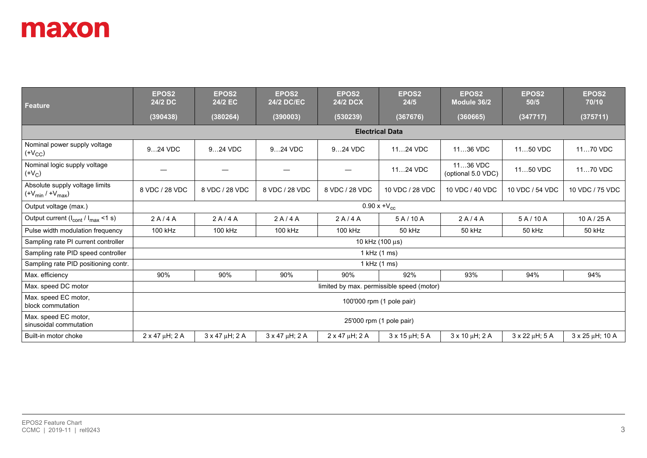| <b>Feature</b>                                            | EPOS <sub>2</sub><br>24/2 DC | EPOS <sub>2</sub><br>24/2 EC | EPOS <sub>2</sub><br><b>24/2 DC/EC</b> | EPOS <sub>2</sub><br><b>24/2 DCX</b> | EPOS <sub>2</sub><br>24/5                 | EPOS <sub>2</sub><br>Module 36/2 | EPOS <sub>2</sub><br>50/5 | EPOS <sub>2</sub><br>70/10 |
|-----------------------------------------------------------|------------------------------|------------------------------|----------------------------------------|--------------------------------------|-------------------------------------------|----------------------------------|---------------------------|----------------------------|
|                                                           | (390438)                     | (380264)                     | (390003)                               | (530239)                             | (367676)                                  | (360665)                         | (347717)                  | (375711)                   |
|                                                           |                              |                              |                                        |                                      | <b>Electrical Data</b>                    |                                  |                           |                            |
| Nominal power supply voltage<br>(V <sub>CC</sub> )        | 924 VDC                      | 924 VDC                      | 924 VDC                                | 924 VDC                              | 1124 VDC                                  | 1136 VDC                         | 1150 VDC                  | 1170 VDC                   |
| Nominal logic supply voltage<br>(V <sub>C</sub> )         |                              |                              |                                        |                                      | 1124 VDC                                  | 1136 VDC<br>(optional 5.0 VDC)   | 1150 VDC                  | 1170 VDC                   |
| Absolute supply voltage limits<br>$(+V_{min}/+V_{max})$   | 8 VDC / 28 VDC               | 8 VDC / 28 VDC               | 8 VDC / 28 VDC                         | 8 VDC / 28 VDC                       | 10 VDC / 28 VDC                           | 10 VDC / 40 VDC                  | 10 VDC / 54 VDC           | 10 VDC / 75 VDC            |
| Output voltage (max.)                                     |                              |                              |                                        |                                      | $0.90 x + V_{cc}$                         |                                  |                           |                            |
| Output current $(I_{\text{cont}} / I_{\text{max}} < 1$ s) | 2A/4A                        | 2A/4A                        | 2A/4A                                  | 2A/4A                                | 5A/10A                                    | 2A/4A                            | 5A/10A                    | 10 A / 25 A                |
| Pulse width modulation frequency                          | 100 kHz                      | 100 kHz                      | 100 kHz                                | 100 kHz                              | 50 kHz                                    | 50 kHz                           | 50 kHz                    | 50 kHz                     |
| Sampling rate PI current controller                       |                              |                              |                                        |                                      | 10 kHz (100 μs)                           |                                  |                           |                            |
| Sampling rate PID speed controller                        |                              |                              |                                        |                                      | 1 kHz (1 ms)                              |                                  |                           |                            |
| Sampling rate PID positioning contr.                      |                              |                              |                                        |                                      | 1 kHz (1 ms)                              |                                  |                           |                            |
| Max. efficiency                                           | 90%                          | 90%                          | 90%                                    | 90%                                  | 92%                                       | 93%                              | 94%                       | 94%                        |
| Max. speed DC motor                                       |                              |                              |                                        |                                      | limited by max. permissible speed (motor) |                                  |                           |                            |
| Max. speed EC motor,<br>block commutation                 | 100'000 rpm (1 pole pair)    |                              |                                        |                                      |                                           |                                  |                           |                            |
| Max. speed EC motor,<br>sinusoidal commutation            | 25'000 rpm (1 pole pair)     |                              |                                        |                                      |                                           |                                  |                           |                            |
| Built-in motor choke                                      | $2 \times 47 \mu H$ ; 2 A    | $3 \times 47 \mu H$ ; 2 A    | $3 \times 47 \mu H$ ; 2 A              | $2 \times 47 \mu H$ ; 2 A            | $3 \times 15 \mu H$ ; 5 A                 | $3 \times 10 \mu H$ ; 2 A        | $3 \times 22 \mu H$ ; 5 A | $3 \times 25 \mu H$ ; 10 A |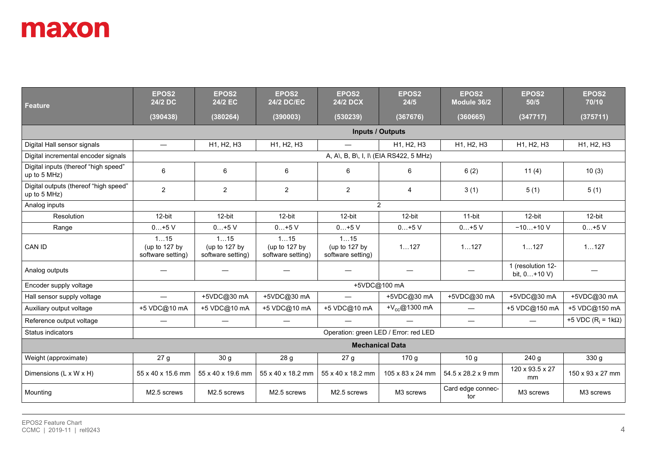| <b>Feature</b>                                        | EPOS <sub>2</sub><br>24/2 DC              | EPOS2<br>24/2 EC                          | EPOS <sub>2</sub><br><b>24/2 DC/EC</b>    | EPOS2<br><b>24/2 DCX</b>                  | EPOS <sub>2</sub><br>24/5 | EPOS <sub>2</sub><br>Module 36/2 | EPOS <sub>2</sub><br>50/5            | EPOS2<br>70/10                 |
|-------------------------------------------------------|-------------------------------------------|-------------------------------------------|-------------------------------------------|-------------------------------------------|---------------------------|----------------------------------|--------------------------------------|--------------------------------|
|                                                       | (390438)                                  | (380264)                                  | (390003)                                  | (530239)                                  | (367676)                  | (360665)                         | (347717)                             | (375711)                       |
|                                                       |                                           |                                           |                                           | <b>Inputs / Outputs</b>                   |                           |                                  |                                      |                                |
| Digital Hall sensor signals                           | $\overline{\phantom{m}}$                  | H1, H2, H3                                | H1, H2, H3                                |                                           | H1, H2, H3                | H1, H2, H3                       | H1, H2, H3                           | H1, H2, H3                     |
| Digital incremental encoder signals                   |                                           |                                           |                                           | A, A\, B, B\, I, I\ (EIA RS422, 5 MHz)    |                           |                                  |                                      |                                |
| Digital inputs (thereof "high speed"<br>up to 5 MHz)  | 6                                         | 6                                         | 6                                         | 6                                         | 6                         | 6(2)                             | 11(4)                                | 10(3)                          |
| Digital outputs (thereof "high speed"<br>up to 5 MHz) | $\overline{2}$                            | 2                                         | $\overline{2}$                            | $\overline{2}$                            | 4                         | 3(1)                             | 5(1)                                 | 5(1)                           |
| Analog inputs                                         |                                           |                                           |                                           |                                           | $\overline{2}$            |                                  |                                      |                                |
| Resolution                                            | 12-bit                                    | 12-bit                                    | 12-bit                                    | 12-bit                                    | 12-bit                    | 11-bit                           | 12-bit                               | 12-bit                         |
| Range                                                 | $0+5V$                                    | $0+5V$                                    | $0+5V$                                    | $0+5V$                                    | $0+5V$                    | $0+5V$                           | $-10+10$ V                           | $0+5V$                         |
| CAN ID                                                | 115<br>(up to 127 by<br>software setting) | 115<br>(up to 127 by<br>software setting) | 115<br>(up to 127 by<br>software setting) | 115<br>(up to 127 by<br>software setting) | 1127                      | 1127                             | 1127                                 | 1127                           |
| Analog outputs                                        |                                           |                                           |                                           | $\hspace{0.05cm}$                         |                           |                                  | 1 (resolution 12-<br>bit, $0+10 V$ ) |                                |
| Encoder supply voltage                                |                                           |                                           |                                           | +5VDC@100 mA                              |                           |                                  |                                      |                                |
| Hall sensor supply voltage                            | $\qquad \qquad -$                         | +5VDC@30 mA                               | +5VDC@30 mA                               |                                           | +5VDC@30 mA               | +5VDC@30 mA                      | +5VDC@30 mA                          | +5VDC@30 mA                    |
| Auxiliary output voltage                              | +5 VDC@10 mA                              | +5 VDC@10 mA                              | +5 VDC@10 mA                              | +5 VDC@10 mA                              | + $V_{cc}$ @1300 mA       | $\qquad \qquad -$                | +5 VDC@150 mA                        | +5 VDC@150 mA                  |
| Reference output voltage                              |                                           |                                           |                                           |                                           |                           | $\overline{\phantom{m}}$         | $\overline{\phantom{0}}$             | +5 VDC ( $R_i$ = 1k $\Omega$ ) |
| <b>Status indicators</b>                              |                                           |                                           |                                           | Operation: green LED / Error: red LED     |                           |                                  |                                      |                                |
|                                                       | <b>Mechanical Data</b>                    |                                           |                                           |                                           |                           |                                  |                                      |                                |
| Weight (approximate)                                  | 27 <sub>g</sub>                           | 30 <sub>g</sub>                           | 28 g                                      | 27 <sub>g</sub>                           | 170 g                     | 10 <sub>g</sub>                  | 240 g                                | 330 g                          |
| Dimensions (L x W x H)                                | 55 x 40 x 15.6 mm                         | 55 x 40 x 19.6 mm                         | 55 x 40 x 18.2 mm                         | 55 x 40 x 18.2 mm                         | 105 x 83 x 24 mm          | 54.5 x 28.2 x 9 mm               | 120 x 93.5 x 27<br>mm                | 150 x 93 x 27 mm               |
| Mounting                                              | M2.5 screws                               | M2.5 screws                               | M <sub>2.5</sub> screws                   | M2.5 screws                               | M3 screws                 | Card edge connec-<br>tor         | M3 screws                            | M3 screws                      |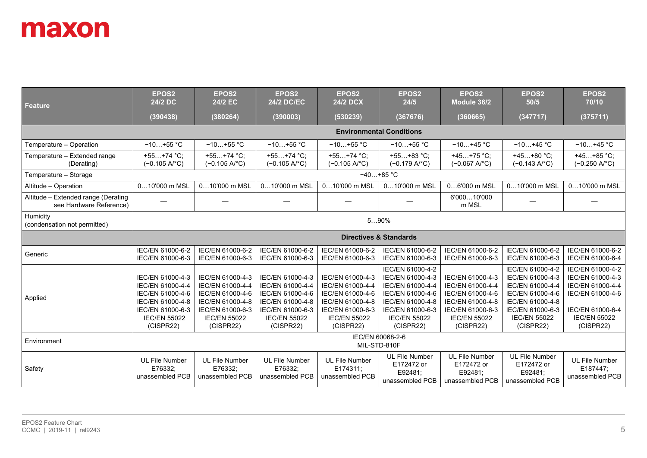| <b>Feature</b>                                                 | EPOS2<br>24/2 DC                                                             | EPOS <sub>2</sub><br>24/2 EC                                                 | EPOS <sub>2</sub><br><b>24/2 DC/EC</b>                                       | EPOS2<br><b>24/2 DCX</b>                                                     | EPOS2<br>24/5                                                                                    | EPOS <sub>2</sub><br>Module 36/2                                             | EPOS2<br>50/5                                                                                    | EPOS <sub>2</sub><br>70/10                                                   |
|----------------------------------------------------------------|------------------------------------------------------------------------------|------------------------------------------------------------------------------|------------------------------------------------------------------------------|------------------------------------------------------------------------------|--------------------------------------------------------------------------------------------------|------------------------------------------------------------------------------|--------------------------------------------------------------------------------------------------|------------------------------------------------------------------------------|
|                                                                | (390438)                                                                     | (380264)                                                                     | (390003)                                                                     | (530239)                                                                     | (367676)                                                                                         | (360665)                                                                     | (347717)                                                                                         | (375711)                                                                     |
|                                                                |                                                                              |                                                                              |                                                                              |                                                                              | <b>Environmental Conditions</b>                                                                  |                                                                              |                                                                                                  |                                                                              |
| Temperature - Operation                                        | $-10+55$ °C                                                                  | $-10+55$ °C                                                                  | $-10+55$ °C                                                                  | $-10+55$ °C                                                                  | $-10+55$ °C                                                                                      | $-10+45 °C$                                                                  | $-10+45$ °C                                                                                      | $-10+45$ °C                                                                  |
| Temperature - Extended range<br>(Derating)                     | $+55+74$ °C;<br>$(-0.105 \text{ A}^{\circ}\text{C})$                         | $+55+74$ °C;<br>$(-0.105 \text{ A}^{\circ}\text{C})$                         | $+55+74$ °C;<br>$(-0.105 A$ <sup>°</sup> C)                                  | $+55+74$ °C;<br>$(-0.105 AoC)$                                               | $+55+83 °C;$<br>$(-0.179 A$ <sup>°</sup> C)                                                      | $+45+75$ °C;<br>$(-0.067 A$ <sup>°</sup> C)                                  | $+45+80 °C;$<br>$(-0.143 A$ °C)                                                                  | $+45+85$ °C;<br>$(-0.250 A$ <sup>°</sup> C)                                  |
| Temperature - Storage                                          |                                                                              |                                                                              |                                                                              |                                                                              | $-40+85$ °C                                                                                      |                                                                              |                                                                                                  |                                                                              |
| Altitude - Operation                                           | 010'000 m MSL                                                                | 010'000 m MSL                                                                | 010'000 m MSL                                                                | 010'000 m MSL                                                                | 010'000 m MSL                                                                                    | 06'000 m MSL                                                                 | 010'000 m MSL                                                                                    | 010'000 m MSL                                                                |
| Altitude - Extended range (Derating<br>see Hardware Reference) |                                                                              |                                                                              |                                                                              |                                                                              |                                                                                                  | 6'00010'000<br>m MSL                                                         |                                                                                                  |                                                                              |
| Humidity<br>(condensation not permitted)                       |                                                                              |                                                                              |                                                                              |                                                                              | 590%                                                                                             |                                                                              |                                                                                                  |                                                                              |
|                                                                |                                                                              |                                                                              |                                                                              |                                                                              | <b>Directives &amp; Standards</b>                                                                |                                                                              |                                                                                                  |                                                                              |
| Generic                                                        | IEC/EN 61000-6-2<br>IEC/EN 61000-6-3                                         | IEC/EN 61000-6-2<br>IEC/EN 61000-6-3                                         | IEC/EN 61000-6-2<br>IEC/EN 61000-6-3                                         | IEC/EN 61000-6-2<br>IEC/EN 61000-6-3                                         | IEC/EN 61000-6-2<br>IEC/EN 61000-6-3                                                             | IEC/EN 61000-6-2<br>IEC/EN 61000-6-3                                         | IEC/EN 61000-6-2<br>IEC/EN 61000-6-3                                                             | IEC/EN 61000-6-2<br>IEC/EN 61000-6-4                                         |
| Applied                                                        | IEC/EN 61000-4-3<br>IEC/EN 61000-4-4<br>IEC/EN 61000-4-6<br>IEC/EN 61000-4-8 | IEC/EN 61000-4-3<br>IEC/EN 61000-4-4<br>IEC/EN 61000-4-6<br>IEC/EN 61000-4-8 | IEC/EN 61000-4-3<br>IEC/EN 61000-4-4<br>IEC/EN 61000-4-6<br>IEC/EN 61000-4-8 | IEC/EN 61000-4-3<br>IEC/EN 61000-4-4<br>IEC/EN 61000-4-6<br>IEC/EN 61000-4-8 | IEC/EN 61000-4-2<br>IEC/EN 61000-4-3<br>IEC/EN 61000-4-4<br>IEC/EN 61000-4-6<br>IEC/EN 61000-4-8 | IEC/EN 61000-4-3<br>IEC/EN 61000-4-4<br>IEC/EN 61000-4-6<br>IEC/EN 61000-4-8 | IEC/EN 61000-4-2<br>IEC/EN 61000-4-3<br>IEC/EN 61000-4-4<br>IEC/EN 61000-4-6<br>IEC/EN 61000-4-8 | IEC/EN 61000-4-2<br>IEC/EN 61000-4-3<br>IEC/EN 61000-4-4<br>IEC/EN 61000-4-6 |
|                                                                | IEC/EN 61000-6-3<br><b>IEC/EN 55022</b><br>(CISPR22)                         | IEC/EN 61000-6-3<br><b>IEC/EN 55022</b><br>(CISPR22)                         | IEC/EN 61000-6-3<br><b>IEC/EN 55022</b><br>(CISPR22)                         | IEC/EN 61000-6-3<br><b>IEC/EN 55022</b><br>(CISPR22)                         | IEC/EN 61000-6-3<br><b>IEC/EN 55022</b><br>(CISPR22)                                             | IEC/EN 61000-6-3<br><b>IEC/EN 55022</b><br>(CISPR22)                         | IEC/EN 61000-6-3<br><b>IEC/EN 55022</b><br>(CISPR22)                                             | IEC/EN 61000-6-4<br><b>IEC/EN 55022</b><br>(CISPR22)                         |
| Environment                                                    | IEC/EN 60068-2-6<br>MIL-STD-810F                                             |                                                                              |                                                                              |                                                                              |                                                                                                  |                                                                              |                                                                                                  |                                                                              |
| Safety                                                         | <b>UL File Number</b><br>E76332:<br>unassembled PCB                          | <b>UL File Number</b><br>E76332:<br>unassembled PCB                          | <b>UL File Number</b><br>E76332:<br>unassembled PCB                          | <b>UL File Number</b><br>E174311:<br>unassembled PCB                         | <b>UL File Number</b><br>E172472 or<br>E92481:<br>unassembled PCB                                | <b>UL File Number</b><br>E172472 or<br>E92481:<br>unassembled PCB            | <b>UL File Number</b><br>E172472 or<br>E92481:<br>unassembled PCB                                | <b>UL File Number</b><br>E187447:<br>unassembled PCB                         |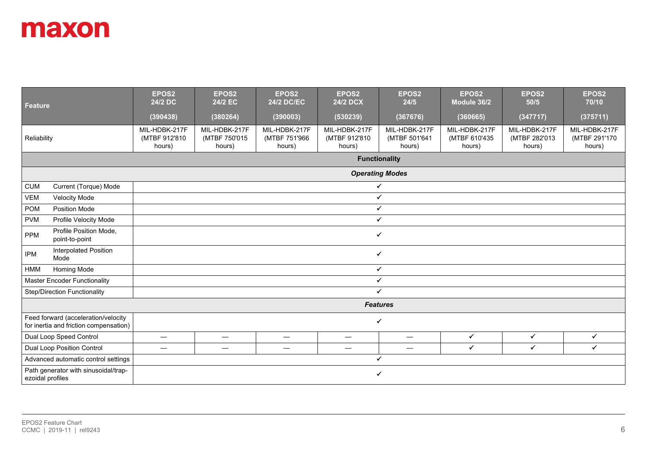| <b>Feature</b>   |                                                                               | EPOS2<br>24/2 DC                         | EPOS <sub>2</sub><br>24/2 EC             | EPOS <sub>2</sub><br><b>24/2 DC/EC</b>   | EPOS <sub>2</sub><br><b>24/2 DCX</b>     | EPOS <sub>2</sub><br>24/5                | EPOS <sub>2</sub><br>Module 36/2         | EPOS2<br>50/5                            | EPOS2<br>70/10                           |
|------------------|-------------------------------------------------------------------------------|------------------------------------------|------------------------------------------|------------------------------------------|------------------------------------------|------------------------------------------|------------------------------------------|------------------------------------------|------------------------------------------|
|                  |                                                                               | (390438)                                 | (380264)                                 | (390003)                                 | (530239)                                 | (367676)                                 | (360665)                                 | (347717)                                 | (375711)                                 |
| Reliability      |                                                                               | MIL-HDBK-217F<br>(MTBF 912'810<br>hours) | MIL-HDBK-217F<br>(MTBF 750'015<br>hours) | MIL-HDBK-217F<br>(MTBF 751'966<br>hours) | MIL-HDBK-217F<br>(MTBF 912'810<br>hours) | MIL-HDBK-217F<br>(MTBF 501'641<br>hours) | MIL-HDBK-217F<br>(MTBF 610'435<br>hours) | MIL-HDBK-217F<br>(MTBF 282'013<br>hours) | MIL-HDBK-217F<br>(MTBF 291'170<br>hours) |
|                  |                                                                               |                                          |                                          |                                          |                                          | <b>Functionality</b>                     |                                          |                                          |                                          |
|                  |                                                                               |                                          |                                          |                                          |                                          | <b>Operating Modes</b>                   |                                          |                                          |                                          |
| <b>CUM</b>       | Current (Torque) Mode                                                         |                                          | $\checkmark$                             |                                          |                                          |                                          |                                          |                                          |                                          |
| <b>VEM</b>       | <b>Velocity Mode</b>                                                          |                                          | $\checkmark$                             |                                          |                                          |                                          |                                          |                                          |                                          |
| <b>POM</b>       | Position Mode                                                                 |                                          | $\checkmark$                             |                                          |                                          |                                          |                                          |                                          |                                          |
| <b>PVM</b>       | Profile Velocity Mode                                                         |                                          | $\checkmark$                             |                                          |                                          |                                          |                                          |                                          |                                          |
| <b>PPM</b>       | Profile Position Mode,<br>point-to-point                                      |                                          | $\checkmark$                             |                                          |                                          |                                          |                                          |                                          |                                          |
| <b>IPM</b>       | <b>Interpolated Position</b><br>Mode                                          |                                          |                                          |                                          |                                          | ✔                                        |                                          |                                          |                                          |
| <b>HMM</b>       | Homing Mode                                                                   |                                          |                                          |                                          |                                          | $\checkmark$                             |                                          |                                          |                                          |
|                  | <b>Master Encoder Functionality</b>                                           |                                          |                                          |                                          |                                          | ✔                                        |                                          |                                          |                                          |
|                  | <b>Step/Direction Functionality</b>                                           |                                          |                                          |                                          |                                          | $\checkmark$                             |                                          |                                          |                                          |
|                  |                                                                               |                                          |                                          |                                          |                                          | <b>Features</b>                          |                                          |                                          |                                          |
|                  | Feed forward (acceleration/velocity<br>for inertia and friction compensation) |                                          | $\checkmark$                             |                                          |                                          |                                          |                                          |                                          |                                          |
|                  | Dual Loop Speed Control                                                       | $\equiv$                                 | $\overline{\phantom{m}}$                 | $\equiv$                                 | $\qquad \qquad \longleftarrow$           | $\qquad \qquad$                          | $\checkmark$                             | $\checkmark$                             | $\checkmark$                             |
|                  | Dual Loop Position Control                                                    |                                          | $\hspace{0.05cm}$                        | $\hspace{0.05cm}$                        | $\hspace{0.05cm}$                        | $\hspace{0.05cm}$                        | $\checkmark$                             | $\checkmark$                             | ✓                                        |
|                  | Advanced automatic control settings                                           |                                          |                                          |                                          |                                          | ✔                                        |                                          |                                          |                                          |
| ezoidal profiles | Path generator with sinusoidal/trap-                                          |                                          | $\checkmark$                             |                                          |                                          |                                          |                                          |                                          |                                          |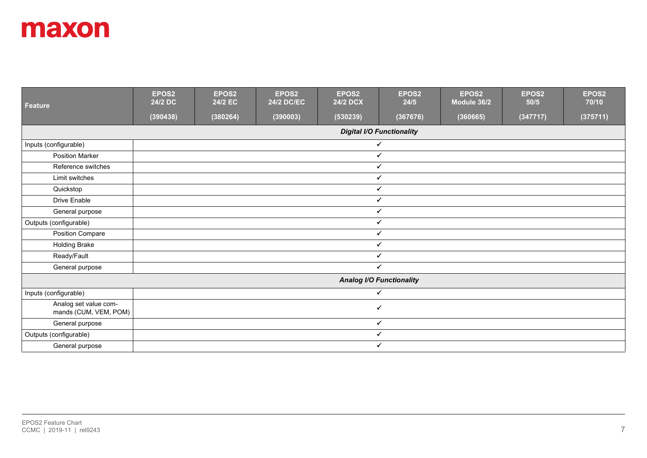| <b>Feature</b>                                 | EPOS2<br>24/2 DC | EPOS2<br>24/2 EC | EPOS2<br><b>24/2 DC/EC</b> | EPOS2<br><b>24/2 DCX</b> | EPOS2<br>24/5                    | EPOS2<br>Module 36/2 | EPOS2<br>50/5 | EPOS2<br>70/10 |
|------------------------------------------------|------------------|------------------|----------------------------|--------------------------|----------------------------------|----------------------|---------------|----------------|
|                                                | (390438)         | (380264)         | (390003)                   | (530239)                 | (367676)                         | (360665)             | (347717)      | (375711)       |
|                                                |                  |                  |                            |                          | <b>Digital I/O Functionality</b> |                      |               |                |
| Inputs (configurable)                          |                  |                  |                            |                          | $\checkmark$                     |                      |               |                |
| <b>Position Marker</b>                         |                  |                  |                            |                          | $\checkmark$                     |                      |               |                |
| Reference switches                             |                  |                  |                            |                          | $\checkmark$                     |                      |               |                |
| Limit switches                                 |                  |                  |                            |                          | $\checkmark$                     |                      |               |                |
| Quickstop                                      |                  |                  |                            |                          | $\checkmark$                     |                      |               |                |
| Drive Enable                                   |                  |                  |                            |                          | $\checkmark$                     |                      |               |                |
| General purpose                                |                  |                  |                            |                          | $\checkmark$                     |                      |               |                |
| Outputs (configurable)                         |                  |                  |                            |                          | $\checkmark$                     |                      |               |                |
| Position Compare                               |                  |                  |                            |                          | $\checkmark$                     |                      |               |                |
| <b>Holding Brake</b>                           |                  |                  |                            |                          | $\checkmark$                     |                      |               |                |
| Ready/Fault                                    |                  |                  |                            |                          | $\checkmark$                     |                      |               |                |
| General purpose                                |                  |                  |                            |                          | ✓                                |                      |               |                |
|                                                |                  |                  |                            |                          | <b>Analog I/O Functionality</b>  |                      |               |                |
| Inputs (configurable)                          |                  |                  |                            |                          | $\checkmark$                     |                      |               |                |
| Analog set value com-<br>mands (CUM, VEM, POM) |                  |                  |                            |                          | ✔                                |                      |               |                |
| General purpose                                |                  |                  |                            |                          | $\checkmark$                     |                      |               |                |
| Outputs (configurable)                         |                  |                  |                            |                          | $\checkmark$                     |                      |               |                |
| General purpose                                |                  |                  |                            |                          | $\checkmark$                     |                      |               |                |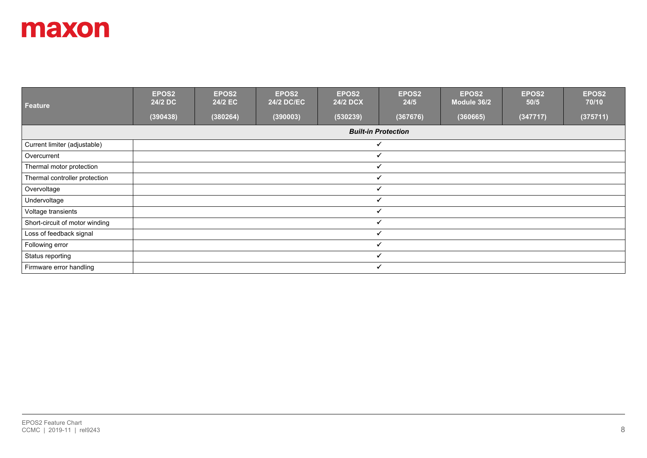| Feature                        | EPOS2<br>24/2 DC | EPOS2<br>24/2 EC | EPOS2<br><b>24/2 DC/EC</b> | EPOS2<br>24/2 DCX | EPOS2<br>24/5              | EPOS2<br>Module 36/2 | EPOS <sub>2</sub><br>50/5 | EPOS <sub>2</sub><br>70/10 |
|--------------------------------|------------------|------------------|----------------------------|-------------------|----------------------------|----------------------|---------------------------|----------------------------|
|                                | (390438)         | (380264)         | (390003)                   | (530239)          | (367676)                   | (360665)             | (347717)                  | (375711)                   |
|                                |                  |                  |                            |                   | <b>Built-in Protection</b> |                      |                           |                            |
| Current limiter (adjustable)   |                  |                  |                            |                   | ✓                          |                      |                           |                            |
| Overcurrent                    |                  |                  |                            |                   | $\checkmark$               |                      |                           |                            |
| Thermal motor protection       |                  |                  |                            |                   | $\checkmark$               |                      |                           |                            |
| Thermal controller protection  |                  |                  |                            |                   | $\checkmark$               |                      |                           |                            |
| Overvoltage                    |                  |                  |                            |                   | ✓                          |                      |                           |                            |
| Undervoltage                   |                  |                  |                            |                   | $\checkmark$               |                      |                           |                            |
| Voltage transients             |                  |                  |                            |                   |                            |                      |                           |                            |
| Short-circuit of motor winding |                  |                  |                            | $\checkmark$      |                            |                      |                           |                            |
| Loss of feedback signal        |                  |                  |                            | $\checkmark$      |                            |                      |                           |                            |
| Following error                |                  |                  |                            | $\checkmark$      |                            |                      |                           |                            |
| Status reporting               |                  |                  |                            | $\checkmark$      |                            |                      |                           |                            |
| Firmware error handling        |                  |                  |                            |                   | $\checkmark$               |                      |                           |                            |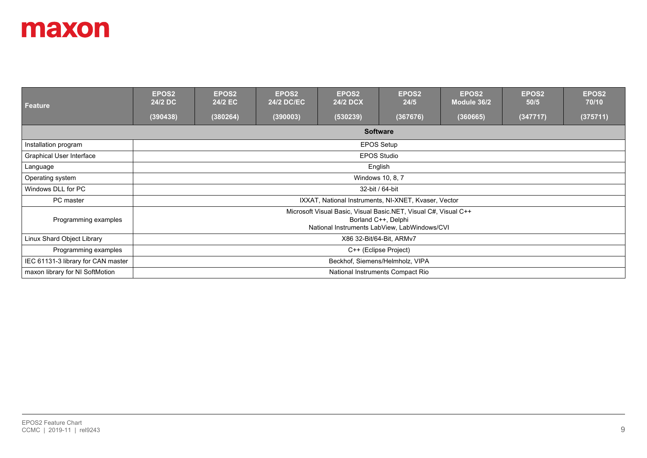| Feature                            | EPOS <sub>2</sub><br>24/2 DC | EPOS2<br>24/2 EC                | <b>EPOS2</b><br><b>24/2 DC/EC</b> | EPOS2<br><b>24/2 DCX</b>                                                                                        | EPOS <sub>2</sub><br>24/5        | EPOS <sub>2</sub><br>Module 36/2 | EPOS <sub>2</sub><br>50/5 | <b>EPOS2</b><br>70/10 |  |  |
|------------------------------------|------------------------------|---------------------------------|-----------------------------------|-----------------------------------------------------------------------------------------------------------------|----------------------------------|----------------------------------|---------------------------|-----------------------|--|--|
|                                    | (390438)                     | (380264)                        | (390003)                          | (530239)                                                                                                        | (367676)                         | (360665)                         | (347717)                  | (375711)              |  |  |
|                                    |                              | <b>Software</b>                 |                                   |                                                                                                                 |                                  |                                  |                           |                       |  |  |
| Installation program               |                              | <b>EPOS Setup</b>               |                                   |                                                                                                                 |                                  |                                  |                           |                       |  |  |
| Graphical User Interface           |                              | <b>EPOS Studio</b>              |                                   |                                                                                                                 |                                  |                                  |                           |                       |  |  |
| Language                           |                              | English                         |                                   |                                                                                                                 |                                  |                                  |                           |                       |  |  |
| Operating system                   |                              | Windows 10, 8, 7                |                                   |                                                                                                                 |                                  |                                  |                           |                       |  |  |
| Windows DLL for PC                 |                              |                                 |                                   |                                                                                                                 | 32-bit / 64-bit                  |                                  |                           |                       |  |  |
| PC master                          |                              |                                 |                                   | IXXAT, National Instruments, NI-XNET, Kvaser, Vector                                                            |                                  |                                  |                           |                       |  |  |
| Programming examples               |                              |                                 |                                   | Microsoft Visual Basic, Visual Basic.NET, Visual C#, Visual C++<br>National Instruments LabView, LabWindows/CVI | Borland C++, Delphi              |                                  |                           |                       |  |  |
| Linux Shard Object Library         |                              | X86 32-Bit/64-Bit, ARMv7        |                                   |                                                                                                                 |                                  |                                  |                           |                       |  |  |
| Programming examples               |                              | C++ (Eclipse Project)           |                                   |                                                                                                                 |                                  |                                  |                           |                       |  |  |
| IEC 61131-3 library for CAN master |                              | Beckhof, Siemens/Helmholz, VIPA |                                   |                                                                                                                 |                                  |                                  |                           |                       |  |  |
| maxon library for NI SoftMotion    |                              |                                 |                                   |                                                                                                                 | National Instruments Compact Rio |                                  |                           |                       |  |  |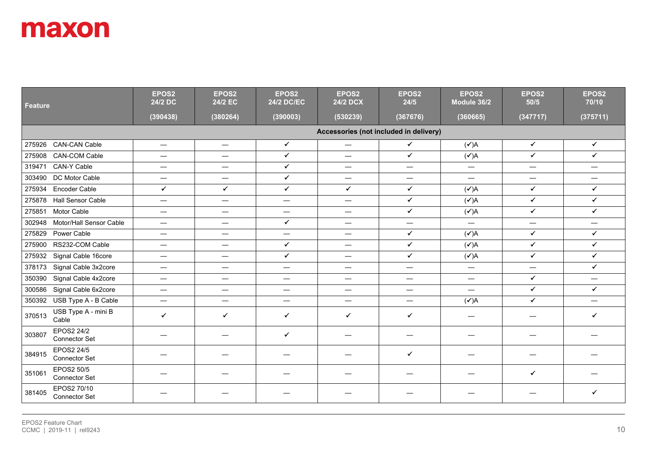| <b>Feature</b>                                | EPOS2<br>24/2 DC                       | EPOS2<br>24/2 EC                 | EPOS2<br><b>24/2 DC/EC</b> | EPOS2<br><b>24/2 DCX</b>         | EPOS <sub>2</sub><br>24/5      | EPOS2<br>Module 36/2     | EPOS2<br>50/5   | EPOS2<br>70/10           |  |  |  |
|-----------------------------------------------|----------------------------------------|----------------------------------|----------------------------|----------------------------------|--------------------------------|--------------------------|-----------------|--------------------------|--|--|--|
|                                               | (390438)                               | (380264)                         | (390003)                   | (530239)                         | (367676)                       | (360665)                 | (347717)        | (375711)                 |  |  |  |
|                                               | Accessories (not included in delivery) |                                  |                            |                                  |                                |                          |                 |                          |  |  |  |
| 275926 CAN-CAN Cable                          |                                        |                                  | $\checkmark$               | $\overline{\phantom{0}}$         | $\checkmark$                   | $(\checkmark)$ A         | $\checkmark$    | $\checkmark$             |  |  |  |
| <b>CAN-COM Cable</b><br>275908                | $\qquad \qquad -$                      | $\overline{\phantom{m}}$         | $\checkmark$               | $\qquad \qquad$                  | $\checkmark$                   | $(\checkmark)$ A         | $\checkmark$    | $\checkmark$             |  |  |  |
| CAN-Y Cable<br>319471                         |                                        |                                  | $\checkmark$               | $\overline{\phantom{0}}$         | —                              | $\equiv$                 | $\equiv$        | —                        |  |  |  |
| DC Motor Cable<br>303490                      | $\overline{\phantom{0}}$               | $\overbrace{\phantom{12322111}}$ | $\checkmark$               | $\overline{\phantom{0}}$         | $\overline{\phantom{m}}$       | $\qquad \qquad -$        | $\equiv$        | —                        |  |  |  |
| <b>Encoder Cable</b><br>275934                | $\checkmark$                           | $\checkmark$                     | $\checkmark$               | $\checkmark$                     | $\checkmark$                   | $(\checkmark)$ A         | $\checkmark$    | $\checkmark$             |  |  |  |
| <b>Hall Sensor Cable</b><br>275878            | $\overline{\phantom{0}}$               | $\overbrace{\phantom{12322111}}$ | $\overline{\phantom{m}}$   | $\overbrace{\phantom{12322111}}$ | $\checkmark$                   | $(\checkmark)$ A         | $\checkmark$    | $\checkmark$             |  |  |  |
| Motor Cable<br>275851                         | $\equiv$                               | $\overline{\phantom{m}}$         | $\overline{\phantom{m}}$   | —                                | $\checkmark$                   | $(\checkmark)$ A         | $\checkmark$    | $\checkmark$             |  |  |  |
| Motor/Hall Sensor Cable<br>302948             | $\equiv$                               | $\equiv$                         | $\checkmark$               | $\overline{\phantom{0}}$         | —                              | $\qquad \qquad -$        | $\equiv$        | —                        |  |  |  |
| Power Cable<br>275829                         | $\qquad \qquad \longleftarrow$         | $\hspace{0.05cm}$                | $\overline{\phantom{m}}$   | $\overline{\phantom{0}}$         | $\checkmark$                   | $(\checkmark)$ A         | $\checkmark$    | $\checkmark$             |  |  |  |
| RS232-COM Cable<br>275900                     | $\equiv$                               | $\overline{\phantom{m}}$         | ✓                          | $\overline{\phantom{m}}$         | $\checkmark$                   | $(\checkmark)$ A         | $\checkmark$    | $\checkmark$             |  |  |  |
| Signal Cable 16core<br>275932                 | $\overline{\phantom{0}}$               | $\overbrace{\phantom{12322111}}$ | $\checkmark$               | $\equiv$                         | $\checkmark$                   | $(\checkmark)$ A         | $\checkmark$    | $\checkmark$             |  |  |  |
| Signal Cable 3x2core<br>378173                | $\hspace{0.05cm}$                      | $\overline{\phantom{m}}$         | $\hspace{0.05cm}$          | $\overline{\phantom{0}}$         | —                              | $\qquad \qquad -$        | $\qquad \qquad$ | $\checkmark$             |  |  |  |
| Signal Cable 4x2core<br>350390                | $\overline{\phantom{0}}$               | $\hspace{0.05cm}$                | $\hspace{0.05cm}$          | $\overbrace{\phantom{13333}}$    | $\qquad \qquad \longleftarrow$ | $\hspace{0.05cm}$        | $\checkmark$    | —                        |  |  |  |
| Signal Cable 6x2core<br>300586                | $\overline{\phantom{0}}$               | $\overbrace{\phantom{12322111}}$ | $\overline{\phantom{m}}$   | $\overline{\phantom{0}}$         |                                | $\overline{\phantom{0}}$ | $\checkmark$    | $\checkmark$             |  |  |  |
| 350392 USB Type A - B Cable                   | $\qquad \qquad =$                      | $\qquad \qquad -$                | $\hspace{0.05cm}$          | $\qquad \qquad -$                | $\qquad \qquad$                | $({\checkmark})$ A       | $\checkmark$    | $\overline{\phantom{0}}$ |  |  |  |
| USB Type A - mini B<br>370513<br>Cable        | $\checkmark$                           | $\checkmark$                     | $\checkmark$               | $\checkmark$                     | ✓                              |                          | ٠               | $\checkmark$             |  |  |  |
| EPOS2 24/2<br>303807<br><b>Connector Set</b>  |                                        |                                  | $\checkmark$               | —                                |                                | -                        | –               |                          |  |  |  |
| EPOS2 24/5<br>384915<br>Connector Set         |                                        |                                  |                            |                                  | $\checkmark$                   |                          |                 |                          |  |  |  |
| EPOS2 50/5<br>351061<br>Connector Set         |                                        |                                  |                            |                                  |                                |                          | ✔               |                          |  |  |  |
| EPOS2 70/10<br>381405<br><b>Connector Set</b> |                                        |                                  |                            |                                  |                                |                          |                 | $\checkmark$             |  |  |  |